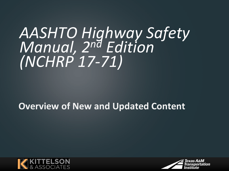# *AASHTO Highway Safety Manual, 2nd Edition (NCHRP 17-71)*

#### **Overview of New and Updated Content**



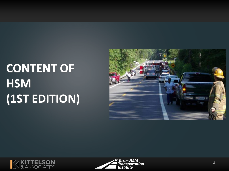# **CONTENT OF HSM (1ST EDITION)**





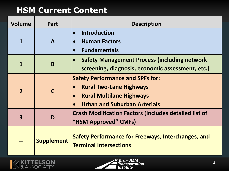#### **HSM Current Content**

| <b>Volume</b>  | Part              | <b>Description</b>                                                                                                                                  |
|----------------|-------------------|-----------------------------------------------------------------------------------------------------------------------------------------------------|
| 1              | A                 | <b>Introduction</b><br><b>Human Factors</b><br>$\bullet$<br><b>Fundamentals</b><br>$\bullet$                                                        |
| 1              | B                 | <b>Safety Management Process (including network</b><br>screening, diagnosis, economic assessment, etc.)                                             |
| $\overline{2}$ | $\mathbf C$       | <b>Safety Performance and SPFs for:</b><br><b>Rural Two-Lane Highways</b><br><b>Rural Multilane Highways</b><br><b>Urban and Suburban Arterials</b> |
| 3              | D                 | <b>Crash Modification Factors (Includes detailed list of</b><br>"HSM Approved" CMFs)                                                                |
|                | <b>Supplement</b> | <b>Safety Performance for Freeways, Interchanges, and</b><br><b>Terminal Intersections</b>                                                          |

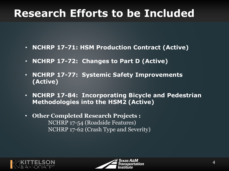## **Research Efforts to be Included**

- **NCHRP 17-71: HSM Production Contract (Active)**
- **NCHRP 17-72: Changes to Part D (Active)**
- **NCHRP 17-77: Systemic Safety Improvements (Active)**
- **NCHRP 17-84: Incorporating Bicycle and Pedestrian Methodologies into the HSM2 (Active)**
- **Other Completed Research Projects :**  NCHRP 17-54 (Roadside Features) NCHRP 17-62 (Crash Type and Severity)



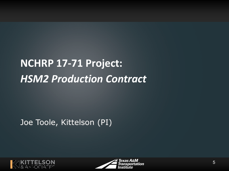# **NCHRP 17-71 Project:**  *HSM2 Production Contract*

Joe Toole, Kittelson (PI)



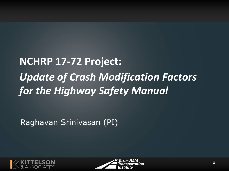# **NCHRP 17-72 Project:**  *Update of Crash Modification Factors for the Highway Safety Manual*

Raghavan Srinivasan (PI)



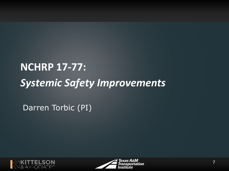# **NCHRP 17-77:**  *Systemic Safety Improvements*

Darren Torbic (PI)



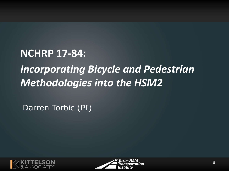#### **NCHRP 17-84:**

## *Incorporating Bicycle and Pedestrian Methodologies into the HSM2*

Darren Torbic (PI)



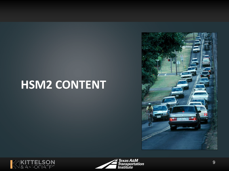# **HSM2 CONTENT**





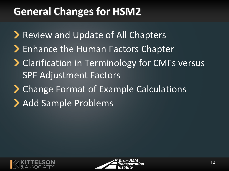## **General Changes for HSM2**

- ▶ Review and Update of All Chapters
- > Enhance the Human Factors Chapter
- **> Clarification in Terminology for CMFs versus** SPF Adjustment Factors
- **Change Format of Example Calculations**
- > Add Sample Problems



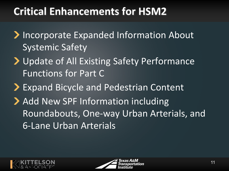#### **Critical Enhancements for HSM2**

- **Incorporate Expanded Information About** Systemic Safety
- > Update of All Existing Safety Performance Functions for Part C
- > Expand Bicycle and Pedestrian Content
- > Add New SPF Information including Roundabouts, One-way Urban Arterials, and 6-Lane Urban Arterials



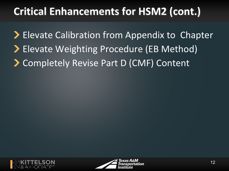## **Critical Enhancements for HSM2 (cont.)**

**Elevate Calibration from Appendix to Chapter** > Elevate Weighting Procedure (EB Method) Completely Revise Part D (CMF) Content



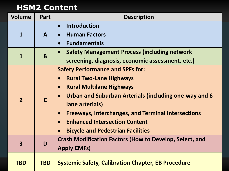#### **HSM2 Content**

| <b>Volume</b>           | Part         | <b>Description</b>                                                                                                                                                                                                                                                                                                                                                                                          |
|-------------------------|--------------|-------------------------------------------------------------------------------------------------------------------------------------------------------------------------------------------------------------------------------------------------------------------------------------------------------------------------------------------------------------------------------------------------------------|
| $\mathbf{1}$            | $\mathbf{A}$ | <b>Introduction</b><br>$\bullet$<br><b>Human Factors</b><br>$\bullet$<br><b>Fundamentals</b><br>$\bullet$                                                                                                                                                                                                                                                                                                   |
| 1                       | B            | <b>Safety Management Process (including network</b><br>$\bullet$<br>screening, diagnosis, economic assessment, etc.)                                                                                                                                                                                                                                                                                        |
| $\overline{2}$          | $\mathsf{C}$ | <b>Safety Performance and SPFs for:</b><br><b>Rural Two-Lane Highways</b><br>$\bullet$<br><b>Rural Multilane Highways</b><br>$\bullet$<br>Urban and Suburban Arterials (including one-way and 6-<br>lane arterials)<br><b>Freeways, Interchanges, and Terminal Intersections</b><br>$\bullet$<br><b>Enhanced Intersection Content</b><br>$\bullet$<br><b>Bicycle and Pedestrian Facilities</b><br>$\bullet$ |
| $\overline{\mathbf{3}}$ | D            | <b>Crash Modification Factors (How to Develop, Select, and</b><br><b>Apply CMFs)</b>                                                                                                                                                                                                                                                                                                                        |
| <b>TBD</b>              | <b>TBD</b>   | <b>Systemic Safety, Calibration Chapter, EB Procedure</b>                                                                                                                                                                                                                                                                                                                                                   |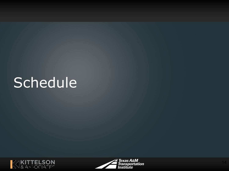# Schedule



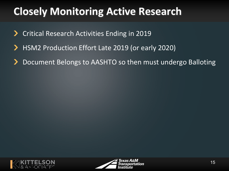## **Closely Monitoring Active Research**

- Critical Research Activities Ending in 2019
- HSM2 Production Effort Late 2019 (or early 2020)
- Document Belongs to AASHTO so then must undergo Balloting